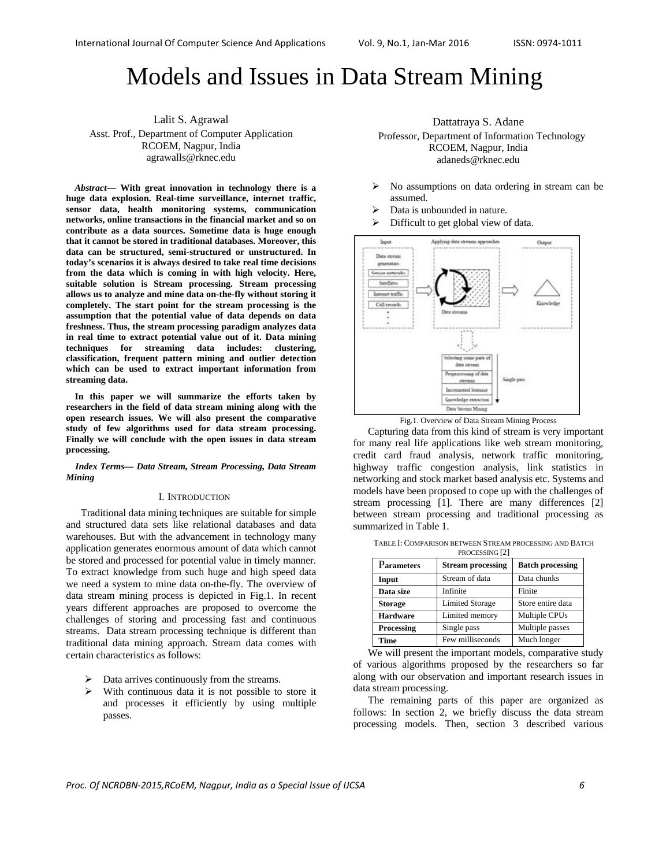# Models and Issues in Data Stream Mining

Lalit S. Agrawal Asst. Prof., Department of Computer Application RCOEM, Nagpur, India agrawalls@rknec.edu

*Abstract***— With great innovation in technology there is a huge data explosion. Real-time surveillance, internet traffic, sensor data, health monitoring systems, communication networks, online transactions in the financial market and so on contribute as a data sources. Sometime data is huge enough that it cannot be stored in traditional databases. Moreover, this data can be structured, semi-structured or unstructured. In today's scenarios it is always desired to take real time decisions from the data which is coming in with high velocity. Here, suitable solution is Stream processing. Stream processing allows us to analyze and mine data on-the-fly without storing it completely. The start point for the stream processing is the assumption that the potential value of data depends on data freshness. Thus, the stream processing paradigm analyzes data in real time to extract potential value out of it. Data mining techniques for streaming data includes: clustering, classification, frequent pattern mining and outlier detection which can be used to extract important information from streaming data.** 

**In this paper we will summarize the efforts taken by researchers in the field of data stream mining along with the open research issues. We will also present the comparative study of few algorithms used for data stream processing. Finally we will conclude with the open issues in data stream processing.**

*Index Terms— Data Stream, Stream Processing, Data Stream Mining* 

#### I. INTRODUCTION

Traditional data mining techniques are suitable for simple and structured data sets like relational databases and data warehouses. But with the advancement in technology many application generates enormous amount of data which cannot be stored and processed for potential value in timely manner. To extract knowledge from such huge and high speed data we need a system to mine data on-the-fly. The overview of data stream mining process is depicted in Fig.1. In recent years different approaches are proposed to overcome the challenges of storing and processing fast and continuous streams. Data stream processing technique is different than traditional data mining approach. Stream data comes with certain characteristics as follows:

- $\triangleright$  Data arrives continuously from the streams.
- $\triangleright$  With continuous data it is not possible to store it and processes it efficiently by using multiple passes.

Dattatraya S. Adane Professor, Department of Information Technology RCOEM, Nagpur, India adaneds@rknec.edu

- $\triangleright$  No assumptions on data ordering in stream can be assumed.
- Data is unbounded in nature.
- Difficult to get global view of data.



Fig.1. Overview of Data Stream Mining Process

Capturing data from this kind of stream is very important for many real life applications like web stream monitoring, credit card fraud analysis, network traffic monitoring, highway traffic congestion analysis, link statistics in networking and stock market based analysis etc. Systems and models have been proposed to cope up with the challenges of stream processing [1]. There are many differences [2] between stream processing and traditional processing as summarized in Table 1.

| TABLE I: COMPARISON BETWEEN STREAM PROCESSING AND BATCH |
|---------------------------------------------------------|
| PROCESSING [2]                                          |

| 1100            |                          |                         |  |  |
|-----------------|--------------------------|-------------------------|--|--|
| Parameters      | <b>Stream processing</b> | <b>Batch processing</b> |  |  |
| Input           | Stream of data           | Data chunks             |  |  |
| Data size       | Infinite                 | Finite                  |  |  |
| <b>Storage</b>  | <b>Limited Storage</b>   | Store entire data       |  |  |
| <b>Hardware</b> | Limited memory           | Multiple CPUs           |  |  |
| Processing      | Single pass              | Multiple passes         |  |  |
| Time            | Few milliseconds         | Much longer             |  |  |

We will present the important models, comparative study of various algorithms proposed by the researchers so far along with our observation and important research issues in data stream processing.

The remaining parts of this paper are organized as follows: In section 2, we briefly discuss the data stream processing models. Then, section 3 described various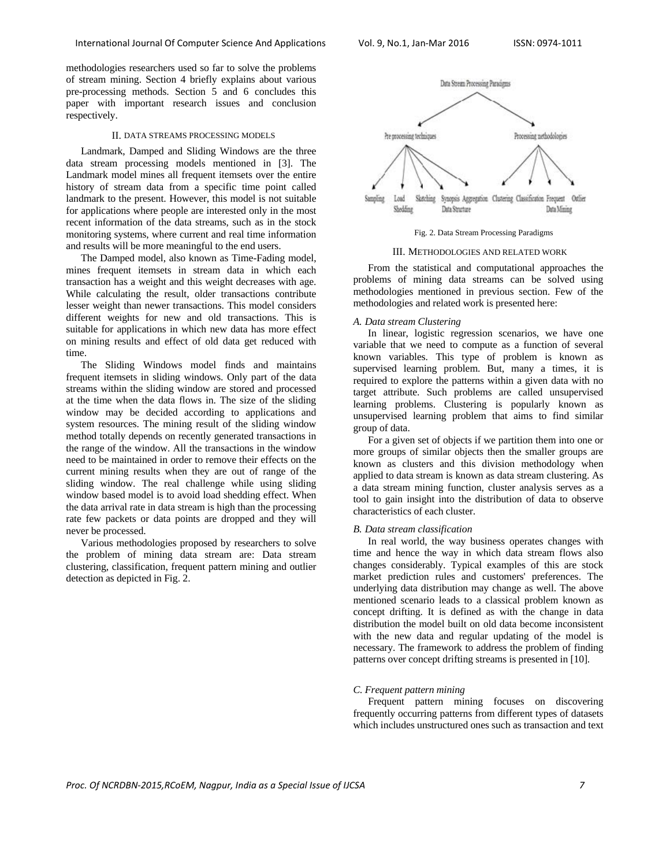methodologies researchers used so far to solve the problems of stream mining. Section 4 briefly explains about various pre-processing methods. Section 5 and 6 concludes this paper with important research issues and conclusion respectively.

#### II. DATA STREAMS PROCESSING MODELS

Landmark, Damped and Sliding Windows are the three data stream processing models mentioned in [3]. The Landmark model mines all frequent itemsets over the entire history of stream data from a specific time point called landmark to the present. However, this model is not suitable for applications where people are interested only in the most recent information of the data streams, such as in the stock monitoring systems, where current and real time information and results will be more meaningful to the end users.

The Damped model, also known as Time-Fading model, mines frequent itemsets in stream data in which each transaction has a weight and this weight decreases with age. While calculating the result, older transactions contribute lesser weight than newer transactions. This model considers different weights for new and old transactions. This is suitable for applications in which new data has more effect on mining results and effect of old data get reduced with time.

The Sliding Windows model finds and maintains frequent itemsets in sliding windows. Only part of the data streams within the sliding window are stored and processed at the time when the data flows in. The size of the sliding window may be decided according to applications and system resources. The mining result of the sliding window method totally depends on recently generated transactions in the range of the window. All the transactions in the window need to be maintained in order to remove their effects on the current mining results when they are out of range of the sliding window. The real challenge while using sliding window based model is to avoid load shedding effect. When the data arrival rate in data stream is high than the processing rate few packets or data points are dropped and they will never be processed.

Various methodologies proposed by researchers to solve the problem of mining data stream are: Data stream clustering, classification, frequent pattern mining and outlier detection as depicted in Fig. 2.



Fig. 2. Data Stream Processing Paradigms

## III. METHODOLOGIES AND RELATED WORK

From the statistical and computational approaches the problems of mining data streams can be solved using methodologies mentioned in previous section. Few of the methodologies and related work is presented here:

## *A. Data stream Clustering*

In linear, logistic regression scenarios, we have one variable that we need to compute as a function of several known variables. This type of problem is known as supervised learning problem. But, many a times, it is required to explore the patterns within a given data with no target attribute. Such problems are called unsupervised learning problems. Clustering is popularly known as unsupervised learning problem that aims to find similar group of data.

For a given set of objects if we partition them into one or more groups of similar objects then the smaller groups are known as clusters and this division methodology when applied to data stream is known as data stream clustering. As a data stream mining function, cluster analysis serves as a tool to gain insight into the distribution of data to observe characteristics of each cluster.

# *B. Data stream classification*

In real world, the way business operates changes with time and hence the way in which data stream flows also changes considerably. Typical examples of this are stock market prediction rules and customers' preferences. The underlying data distribution may change as well. The above mentioned scenario leads to a classical problem known as concept drifting. It is defined as with the change in data distribution the model built on old data become inconsistent with the new data and regular updating of the model is necessary. The framework to address the problem of finding patterns over concept drifting streams is presented in [10].

#### *C. Frequent pattern mining*

Frequent pattern mining focuses on discovering frequently occurring patterns from different types of datasets which includes unstructured ones such as transaction and text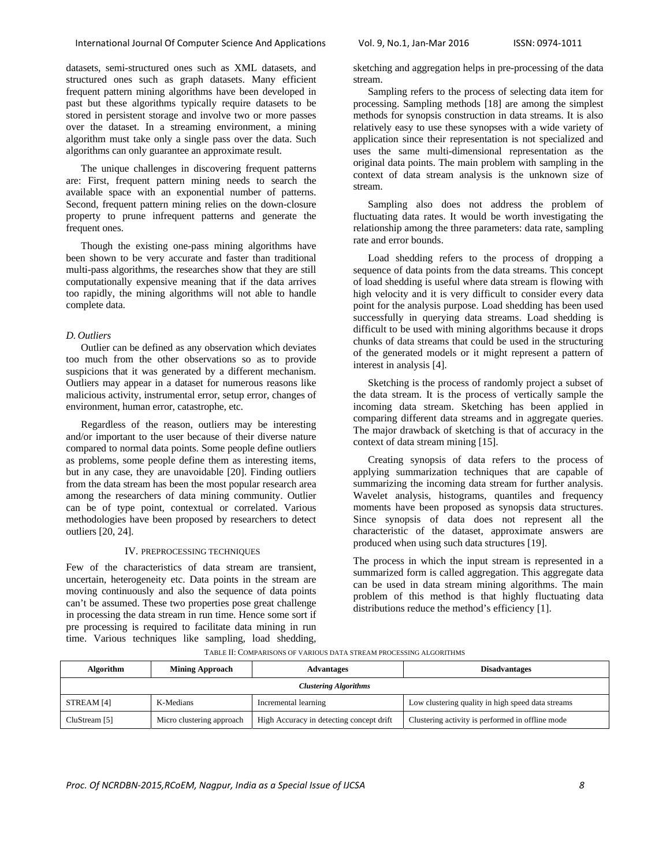datasets, semi-structured ones such as XML datasets, and structured ones such as graph datasets. Many efficient frequent pattern mining algorithms have been developed in past but these algorithms typically require datasets to be stored in persistent storage and involve two or more passes over the dataset. In a streaming environment, a mining algorithm must take only a single pass over the data. Such algorithms can only guarantee an approximate result.

The unique challenges in discovering frequent patterns are: First, frequent pattern mining needs to search the available space with an exponential number of patterns. Second, frequent pattern mining relies on the down-closure property to prune infrequent patterns and generate the frequent ones.

Though the existing one-pass mining algorithms have been shown to be very accurate and faster than traditional multi-pass algorithms, the researches show that they are still computationally expensive meaning that if the data arrives too rapidly, the mining algorithms will not able to handle complete data.

## *D. Outliers*

Outlier can be defined as any observation which deviates too much from the other observations so as to provide suspicions that it was generated by a different mechanism. Outliers may appear in a dataset for numerous reasons like malicious activity, instrumental error, setup error, changes of environment, human error, catastrophe, etc.

Regardless of the reason, outliers may be interesting and/or important to the user because of their diverse nature compared to normal data points. Some people define outliers as problems, some people define them as interesting items, but in any case, they are unavoidable [20]. Finding outliers from the data stream has been the most popular research area among the researchers of data mining community. Outlier can be of type point, contextual or correlated. Various methodologies have been proposed by researchers to detect outliers [20, 24].

## IV. PREPROCESSING TECHNIQUES

Few of the characteristics of data stream are transient, uncertain, heterogeneity etc. Data points in the stream are moving continuously and also the sequence of data points can't be assumed. These two properties pose great challenge in processing the data stream in run time. Hence some sort if pre processing is required to facilitate data mining in run time. Various techniques like sampling, load shedding,

sketching and aggregation helps in pre-processing of the data stream.

Sampling refers to the process of selecting data item for processing. Sampling methods [18] are among the simplest methods for synopsis construction in data streams. It is also relatively easy to use these synopses with a wide variety of application since their representation is not specialized and uses the same multi-dimensional representation as the original data points. The main problem with sampling in the context of data stream analysis is the unknown size of stream.

Sampling also does not address the problem of fluctuating data rates. It would be worth investigating the relationship among the three parameters: data rate, sampling rate and error bounds.

Load shedding refers to the process of dropping a sequence of data points from the data streams. This concept of load shedding is useful where data stream is flowing with high velocity and it is very difficult to consider every data point for the analysis purpose. Load shedding has been used successfully in querying data streams. Load shedding is difficult to be used with mining algorithms because it drops chunks of data streams that could be used in the structuring of the generated models or it might represent a pattern of interest in analysis [4].

Sketching is the process of randomly project a subset of the data stream. It is the process of vertically sample the incoming data stream. Sketching has been applied in comparing different data streams and in aggregate queries. The major drawback of sketching is that of accuracy in the context of data stream mining [15].

Creating synopsis of data refers to the process of applying summarization techniques that are capable of summarizing the incoming data stream for further analysis. Wavelet analysis, histograms, quantiles and frequency moments have been proposed as synopsis data structures. Since synopsis of data does not represent all the characteristic of the dataset, approximate answers are produced when using such data structures [19].

The process in which the input stream is represented in a summarized form is called aggregation. This aggregate data can be used in data stream mining algorithms. The main problem of this method is that highly fluctuating data distributions reduce the method's efficiency [1].

| Algorithm                    | <b>Mining Approach</b>    | <b>Advantages</b>                        | <b>Disadvantages</b>                              |  |  |
|------------------------------|---------------------------|------------------------------------------|---------------------------------------------------|--|--|
| <b>Clustering Algorithms</b> |                           |                                          |                                                   |  |  |
| STREAM [4]                   | K-Medians                 | Incremental learning                     | Low clustering quality in high speed data streams |  |  |
| CluStream [5]                | Micro clustering approach | High Accuracy in detecting concept drift | Clustering activity is performed in offline mode  |  |  |

TABLE II: COMPARISONS OF VARIOUS DATA STREAM PROCESSING ALGORITHMS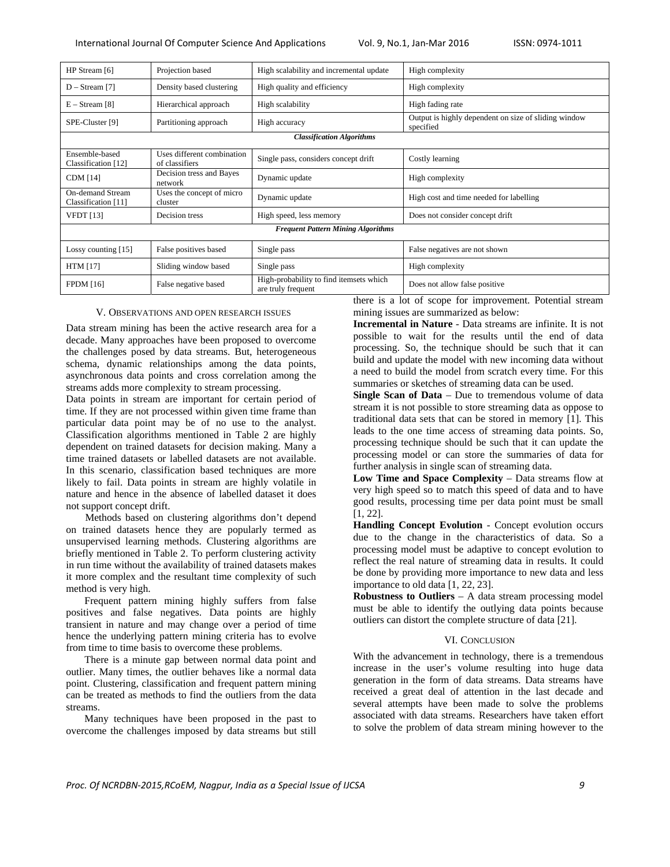| HP Stream [6]                             | Projection based                             | High scalability and incremental update                       | High complexity                                                   |  |  |
|-------------------------------------------|----------------------------------------------|---------------------------------------------------------------|-------------------------------------------------------------------|--|--|
| $D - Stream$ [7]                          | Density based clustering                     | High quality and efficiency                                   | High complexity                                                   |  |  |
| $E -$ Stream [8]                          | Hierarchical approach                        | High scalability                                              | High fading rate                                                  |  |  |
| SPE-Cluster [9]                           | Partitioning approach                        | High accuracy                                                 | Output is highly dependent on size of sliding window<br>specified |  |  |
| <b>Classification Algorithms</b>          |                                              |                                                               |                                                                   |  |  |
| Ensemble-based<br>Classification [12]     | Uses different combination<br>of classifiers | Single pass, considers concept drift                          | Costly learning                                                   |  |  |
| <b>CDM</b> [14]                           | Decision tress and Bayes<br>network          | Dynamic update                                                | High complexity                                                   |  |  |
| On-demand Stream<br>Classification [11]   | Uses the concept of micro<br>cluster         | Dynamic update                                                | High cost and time needed for labelling                           |  |  |
| <b>VFDT</b> [13]                          | Decision tress                               | High speed, less memory                                       | Does not consider concept drift                                   |  |  |
| <b>Frequent Pattern Mining Algorithms</b> |                                              |                                                               |                                                                   |  |  |
| Lossy counting $[15]$                     | False positives based                        | Single pass                                                   | False negatives are not shown                                     |  |  |
| <b>HTM</b> [17]                           | Sliding window based                         | Single pass                                                   | High complexity                                                   |  |  |
| <b>FPDM</b> [16]                          | False negative based                         | High-probability to find itemsets which<br>are truly frequent | Does not allow false positive                                     |  |  |

## V. OBSERVATIONS AND OPEN RESEARCH ISSUES

Data stream mining has been the active research area for a decade. Many approaches have been proposed to overcome the challenges posed by data streams. But, heterogeneous schema, dynamic relationships among the data points, asynchronous data points and cross correlation among the streams adds more complexity to stream processing.

Data points in stream are important for certain period of time. If they are not processed within given time frame than particular data point may be of no use to the analyst. Classification algorithms mentioned in Table 2 are highly dependent on trained datasets for decision making. Many a time trained datasets or labelled datasets are not available. In this scenario, classification based techniques are more likely to fail. Data points in stream are highly volatile in nature and hence in the absence of labelled dataset it does not support concept drift.

 Methods based on clustering algorithms don't depend on trained datasets hence they are popularly termed as unsupervised learning methods. Clustering algorithms are briefly mentioned in Table 2. To perform clustering activity in run time without the availability of trained datasets makes it more complex and the resultant time complexity of such method is very high.

Frequent pattern mining highly suffers from false positives and false negatives. Data points are highly transient in nature and may change over a period of time hence the underlying pattern mining criteria has to evolve from time to time basis to overcome these problems.

There is a minute gap between normal data point and outlier. Many times, the outlier behaves like a normal data point. Clustering, classification and frequent pattern mining can be treated as methods to find the outliers from the data streams.

Many techniques have been proposed in the past to overcome the challenges imposed by data streams but still

there is a lot of scope for improvement. Potential stream mining issues are summarized as below:

**Incremental in Nature** - Data streams are infinite. It is not possible to wait for the results until the end of data processing. So, the technique should be such that it can build and update the model with new incoming data without a need to build the model from scratch every time. For this summaries or sketches of streaming data can be used.

**Single Scan of Data** – Due to tremendous volume of data stream it is not possible to store streaming data as oppose to traditional data sets that can be stored in memory [1]. This leads to the one time access of streaming data points. So, processing technique should be such that it can update the processing model or can store the summaries of data for further analysis in single scan of streaming data.

**Low Time and Space Complexity** – Data streams flow at very high speed so to match this speed of data and to have good results, processing time per data point must be small [1, 22].

**Handling Concept Evolution** - Concept evolution occurs due to the change in the characteristics of data. So a processing model must be adaptive to concept evolution to reflect the real nature of streaming data in results. It could be done by providing more importance to new data and less importance to old data [1, 22, 23].

**Robustness to Outliers** – A data stream processing model must be able to identify the outlying data points because outliers can distort the complete structure of data [21].

# VI. CONCLUSION

With the advancement in technology, there is a tremendous increase in the user's volume resulting into huge data generation in the form of data streams. Data streams have received a great deal of attention in the last decade and several attempts have been made to solve the problems associated with data streams. Researchers have taken effort to solve the problem of data stream mining however to the